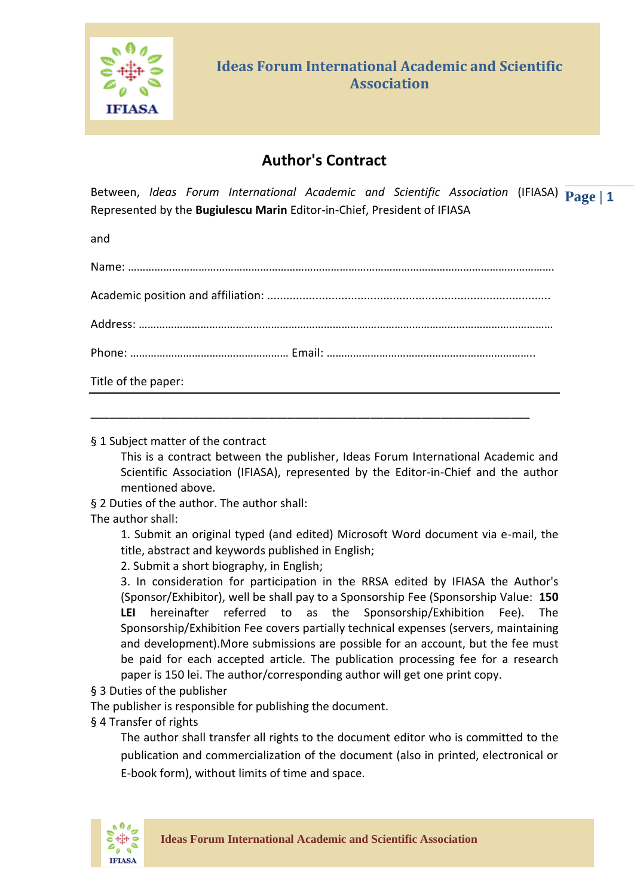

## **Author's Contract**

Between, *Ideas Forum International Academic and Scientific Association* (IFIASA)  $\mathbf{Page} \mid \mathbf{1}$ Represented by the **Bugiulescu Marin** Editor-in-Chief, President of IFIASA

and

| Title of the paper: |
|---------------------|
|                     |

\_\_\_\_\_\_\_\_\_\_\_\_\_\_\_\_\_\_\_\_\_\_\_\_\_\_\_\_\_\_\_\_\_\_\_\_\_\_\_\_\_\_\_\_\_\_\_\_\_\_\_\_\_\_\_\_\_\_\_\_\_\_\_\_\_\_\_\_\_

§ 1 Subject matter of the contract

This is a contract between the publisher, Ideas Forum International Academic and Scientific Association (IFIASA), represented by the Editor-in-Chief and the author mentioned above.

§ 2 Duties of the author. The author shall:

The author shall:

1. Submit an original typed (and edited) Microsoft Word document via e-mail, the title, abstract and keywords published in English;

2. Submit a short biography, in English;

3. In consideration for participation in the RRSA edited by IFIASA the Author's (Sponsor/Exhibitor), well be shall pay to a Sponsorship Fee (Sponsorship Value: **150 LEI** hereinafter referred to as the Sponsorship/Exhibition Fee). The Sponsorship/Exhibition Fee covers partially technical expenses (servers, maintaining and development).More submissions are possible for an account, but the fee must be paid for each accepted article. The publication processing fee for a research paper is 150 lei. The author/corresponding author will get one print copy.

§ 3 Duties of the publisher

The publisher is responsible for publishing the document.

§ 4 Transfer of rights

The author shall transfer all rights to the document editor who is committed to the publication and commercialization of the document (also in printed, electronical or E-book form), without limits of time and space.